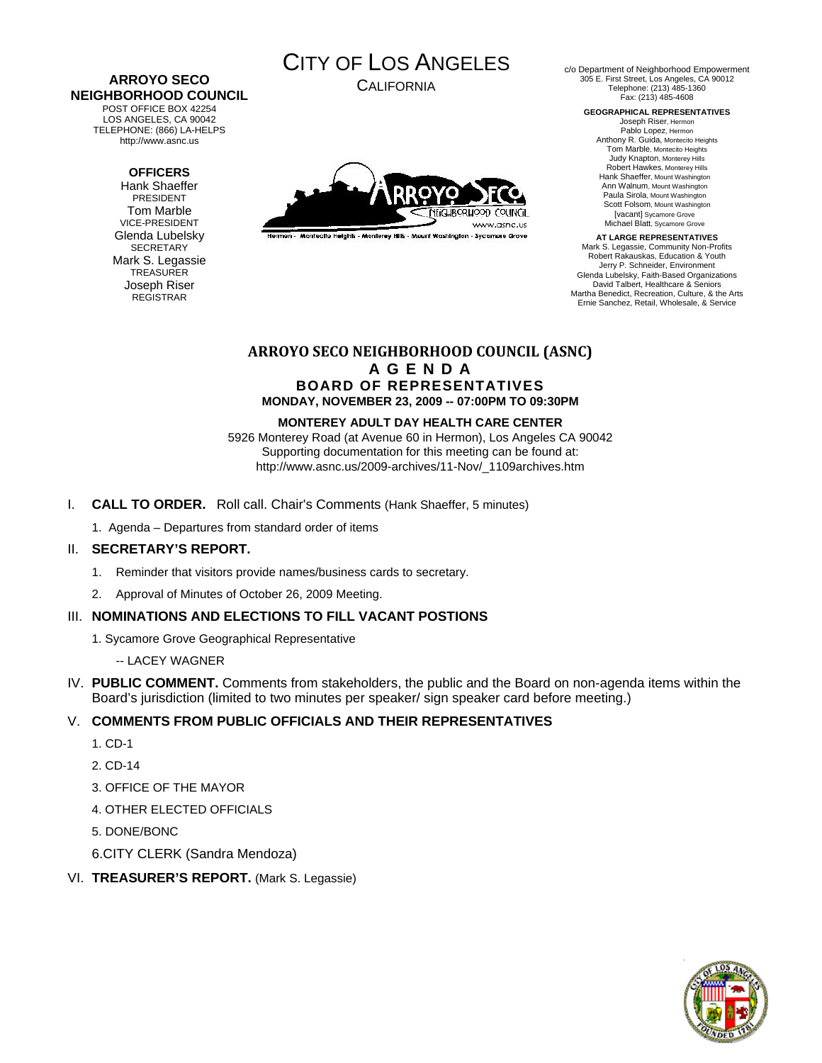#### **ARROYO SECO NEIGHBORHOOD COUNCIL**  POST OFFICE BOX 42254

LOS ANGELES, CA 90042 TELEPHONE: (866) LA-HELPS http://www.asnc.us

### **OFFICERS**

Hank Shaeffer PRESIDENT Tom Marble VICE-PRESIDENT Glenda Lubelsky SECRETARY Mark S. Legassie **TREASURER** Joseph Riser REGISTRAR

# CITY OF LOS ANGELES

CALIFORNIA



Hermon - Montecito Heights - Monterey Hills - Mount Washington - Sycamore Grove

c/o Department of Neighborhood Empowerment 305 E. First Street, Los Angeles, CA 90012 Telephone: (213) 485-1360 Fax: (213) 485-4608

**GEOGRAPHICAL REPRESENTATIVES** 

Joseph Riser, Hermon Pablo Lopez, Hermon Anthony R. Guida, Montecito Heights Tom Marble, Montecito Heights Judy Knapton, Monterey Hills Robert Hawkes, Monterey Hills Hank Shaeffer, Mount Washington Ann Walnum, Mount Washington Paula Sirola, Mount Washington Scott Folsom, Mount Washington [vacant] Sycamore Grove Michael Blatt, Sycamore Grove

**AT LARGE REPRESENTATIVES**  Mark S. Legassie, Community Non-Profits Robert Rakauskas, Education & Youth Jerry P. Schneider, Environment Glenda Lubelsky, Faith-Based Organizations David Talbert, Healthcare & Seniors Martha Benedict, Recreation, Culture, & the Arts Ernie Sanchez, Retail, Wholesale, & Service

## **ARROYO SECO NEIGHBORHOOD COUNCIL (ASNC) A G E N D A BOARD OF REPRESENTATIVES MONDAY, NOVEMBER 23, 2009 -- 07:00PM TO 09:30PM**

### **MONTEREY ADULT DAY HEALTH CARE CENTER**

5926 Monterey Road (at Avenue 60 in Hermon), Los Angeles CA 90042 Supporting documentation for this meeting can be found at: http://www.asnc.us/2009-archives/11-Nov/\_1109archives.htm

- I. **CALL TO ORDER.** Roll call. Chair's Comments (Hank Shaeffer, 5 minutes)
	- 1. Agenda Departures from standard order of items

### II. **SECRETARY'S REPORT.**

- 1. Reminder that visitors provide names/business cards to secretary.
- 2. Approval of Minutes of October 26, 2009 Meeting.

# III. **NOMINATIONS AND ELECTIONS TO FILL VACANT POSTIONS**

- 1. Sycamore Grove Geographical Representative
	- -- LACEY WAGNER
- IV. **PUBLIC COMMENT.** Comments from stakeholders, the public and the Board on non-agenda items within the Board's jurisdiction (limited to two minutes per speaker/ sign speaker card before meeting.)

# V. **COMMENTS FROM PUBLIC OFFICIALS AND THEIR REPRESENTATIVES**

- 1. CD-1
- 2. CD-14
- 3. OFFICE OF THE MAYOR
- 4. OTHER ELECTED OFFICIALS
- 5. DONE/BONC
- 6.CITY CLERK (Sandra Mendoza)

### VI. **TREASURER'S REPORT.** (Mark S. Legassie)

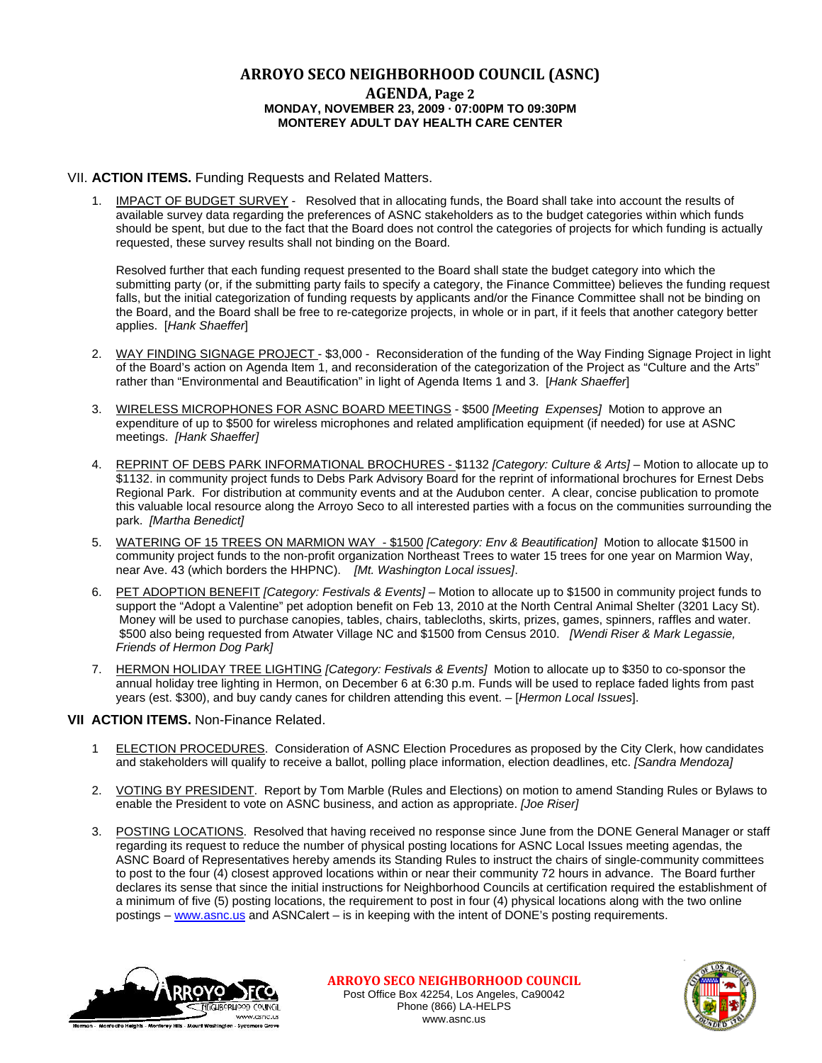# **ARROYO SECO NEIGHBORHOOD COUNCIL (ASNC)**

### **AGENDA, Page 2 MONDAY, NOVEMBER 23, 2009 · 07:00PM TO 09:30PM MONTEREY ADULT DAY HEALTH CARE CENTER**

### VII. **ACTION ITEMS.** Funding Requests and Related Matters.

1. IMPACT OF BUDGET SURVEY - Resolved that in allocating funds, the Board shall take into account the results of available survey data regarding the preferences of ASNC stakeholders as to the budget categories within which funds should be spent, but due to the fact that the Board does not control the categories of projects for which funding is actually requested, these survey results shall not binding on the Board.

 Resolved further that each funding request presented to the Board shall state the budget category into which the submitting party (or, if the submitting party fails to specify a category, the Finance Committee) believes the funding request falls, but the initial categorization of funding requests by applicants and/or the Finance Committee shall not be binding on the Board, and the Board shall be free to re-categorize projects, in whole or in part, if it feels that another category better applies. [*Hank Shaeffer*]

- 2. WAY FINDING SIGNAGE PROJECT \$3,000 Reconsideration of the funding of the Way Finding Signage Project in light of the Board's action on Agenda Item 1, and reconsideration of the categorization of the Project as "Culture and the Arts" rather than "Environmental and Beautification" in light of Agenda Items 1 and 3. [*Hank Shaeffer*]
- 3. WIRELESS MICROPHONES FOR ASNC BOARD MEETINGS \$500 *[Meeting Expenses]* Motion to approve an expenditure of up to \$500 for wireless microphones and related amplification equipment (if needed) for use at ASNC meetings. *[Hank Shaeffer]*
- 4. REPRINT OF DEBS PARK INFORMATIONAL BROCHURES \$1132 *[Category: Culture & Arts]* Motion to allocate up to \$1132. in community project funds to Debs Park Advisory Board for the reprint of informational brochures for Ernest Debs Regional Park. For distribution at community events and at the Audubon center. A clear, concise publication to promote this valuable local resource along the Arroyo Seco to all interested parties with a focus on the communities surrounding the park. *[Martha Benedict]*
- 5. WATERING OF 15 TREES ON MARMION WAY \$1500 *[Category: Env & Beautification]* Motion to allocate \$1500 in community project funds to the non-profit organization Northeast Trees to water 15 trees for one year on Marmion Way, near Ave. 43 (which borders the HHPNC). *[Mt. Washington Local issues]*.
- 6. PET ADOPTION BENEFIT *[Category: Festivals & Events]* Motion to allocate up to \$1500 in community project funds to support the "Adopt a Valentine" pet adoption benefit on Feb 13, 2010 at the North Central Animal Shelter (3201 Lacy St). Money will be used to purchase canopies, tables, chairs, tablecloths, skirts, prizes, games, spinners, raffles and water. \$500 also being requested from Atwater Village NC and \$1500 from Census 2010. *[Wendi Riser & Mark Legassie, Friends of Hermon Dog Park]*
- 7. HERMON HOLIDAY TREE LIGHTING *[Category: Festivals & Events]* Motion to allocate up to \$350 to co-sponsor the annual holiday tree lighting in Hermon, on December 6 at 6:30 p.m. Funds will be used to replace faded lights from past years (est. \$300), and buy candy canes for children attending this event. – [*Hermon Local Issues*].

### **VII ACTION ITEMS.** Non-Finance Related.

- 1 ELECTION PROCEDURES. Consideration of ASNC Election Procedures as proposed by the City Clerk, how candidates and stakeholders will qualify to receive a ballot, polling place information, election deadlines, etc. *[Sandra Mendoza]*
- 2. VOTING BY PRESIDENT. Report by Tom Marble (Rules and Elections) on motion to amend Standing Rules or Bylaws to enable the President to vote on ASNC business, and action as appropriate. *[Joe Riser]*
- 3. POSTING LOCATIONS. Resolved that having received no response since June from the DONE General Manager or staff regarding its request to reduce the number of physical posting locations for ASNC Local Issues meeting agendas, the ASNC Board of Representatives hereby amends its Standing Rules to instruct the chairs of single-community committees to post to the four (4) closest approved locations within or near their community 72 hours in advance. The Board further declares its sense that since the initial instructions for Neighborhood Councils at certification required the establishment of a minimum of five (5) posting locations, the requirement to post in four (4) physical locations along with the two online postings – [www.asnc.us](http://www.asnc.us/) and ASNCalert – is in keeping with the intent of DONE's posting requirements.



**ARROYO SECO NEIGHBORHOOD COUNCIL** Post Office Box 42254, Los Angeles, Ca90042 Phone (866) LA-HELPS www.asnc.us

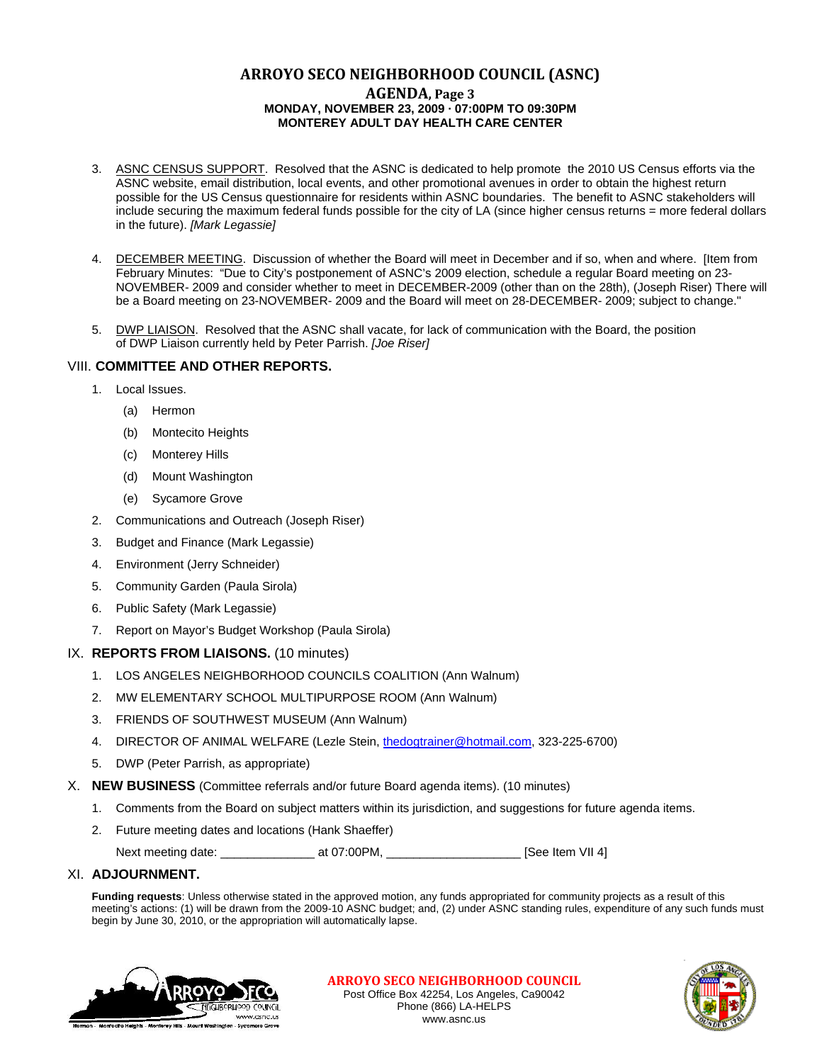# **ARROYO SECO NEIGHBORHOOD COUNCIL (ASNC) AGENDA, Page 3 MONDAY, NOVEMBER 23, 2009 · 07:00PM TO 09:30PM MONTEREY ADULT DAY HEALTH CARE CENTER**

- 3. ASNC CENSUS SUPPORT. Resolved that the ASNC is dedicated to help promote the 2010 US Census efforts via the ASNC website, email distribution, local events, and other promotional avenues in order to obtain the highest return possible for the US Census questionnaire for residents within ASNC boundaries. The benefit to ASNC stakeholders will include securing the maximum federal funds possible for the city of LA (since higher census returns = more federal dollars in the future). *[Mark Legassie]*
- 4. DECEMBER MEETING. Discussion of whether the Board will meet in December and if so, when and where. [Item from February Minutes: "Due to City's postponement of ASNC's 2009 election, schedule a regular Board meeting on 23- NOVEMBER- 2009 and consider whether to meet in DECEMBER-2009 (other than on the 28th), (Joseph Riser) There will be a Board meeting on 23-NOVEMBER- 2009 and the Board will meet on 28-DECEMBER- 2009; subject to change."
- 5. DWP LIAISON. Resolved that the ASNC shall vacate, for lack of communication with the Board, the position of DWP Liaison currently held by Peter Parrish. *[Joe Riser]*

### VIII. **COMMITTEE AND OTHER REPORTS.**

- 1. Local Issues.
	- (a) Hermon
	- (b) Montecito Heights
	- (c) Monterey Hills
	- (d) Mount Washington
	- (e) Sycamore Grove
- 2. Communications and Outreach (Joseph Riser)
- 3. Budget and Finance (Mark Legassie)
- 4. Environment (Jerry Schneider)
- 5. Community Garden (Paula Sirola)
- 6. Public Safety (Mark Legassie)
- 7. Report on Mayor's Budget Workshop (Paula Sirola)

### IX. **REPORTS FROM LIAISONS.** (10 minutes)

- 1. LOS ANGELES NEIGHBORHOOD COUNCILS COALITION (Ann Walnum)
- 2. MW ELEMENTARY SCHOOL MULTIPURPOSE ROOM (Ann Walnum)
- 3. FRIENDS OF SOUTHWEST MUSEUM (Ann Walnum)
- 4. DIRECTOR OF ANIMAL WELFARE (Lezle Stein, [thedogtrainer@hotmail.com](mailto:thedogtrainer@hotmail.com), 323-225-6700)
- 5. DWP (Peter Parrish, as appropriate)
- X. **NEW BUSINESS** (Committee referrals and/or future Board agenda items). (10 minutes)
	- 1. Comments from the Board on subject matters within its jurisdiction, and suggestions for future agenda items.
	- 2. Future meeting dates and locations (Hank Shaeffer)

Next meeting date: \_\_\_\_\_\_\_\_\_\_\_\_\_\_ at 07:00PM, \_\_\_\_\_\_\_\_\_\_\_\_\_\_\_\_\_\_\_\_ [See Item VII 4]

### XI. **ADJOURNMENT.**

**Funding requests**: Unless otherwise stated in the approved motion, any funds appropriated for community projects as a result of this meeting's actions: (1) will be drawn from the 2009-10 ASNC budget; and, (2) under ASNC standing rules, expenditure of any such funds must begin by June 30, 2010, or the appropriation will automatically lapse.



**ARROYO SECO NEIGHBORHOOD COUNCIL** Post Office Box 42254, Los Angeles, Ca90042 Phone (866) LA-HELPS www.asnc.us